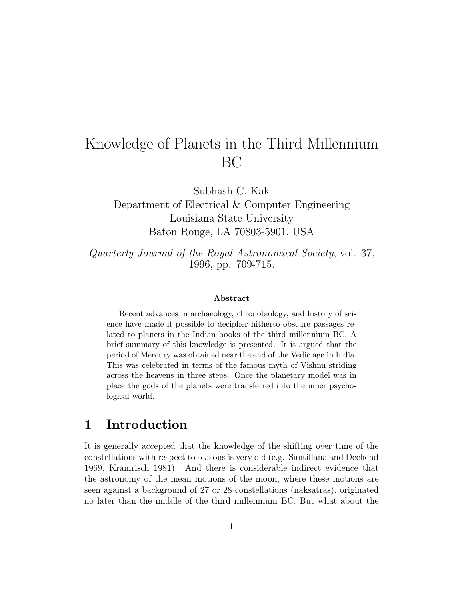# Knowledge of Planets in the Third Millennium BC

Subhash C. Kak

Department of Electrical & Computer Engineering Louisiana State University Baton Rouge, LA 70803-5901, USA

Quarterly Journal of the Royal Astronomical Society, vol. 37, 1996, pp. 709-715.

#### **Abstract**

Recent advances in archaeology, chronobiology, and history of science have made it possible to decipher hitherto obscure passages related to planets in the Indian books of the third millennium BC. A brief summary of this knowledge is presented. It is argued that the period of Mercury was obtained near the end of the Vedic age in India. This was celebrated in terms of the famous myth of Vishnu striding across the heavens in three steps. Once the planetary model was in place the gods of the planets were transferred into the inner psychological world.

# **1 Introduction**

It is generally accepted that the knowledge of the shifting over time of the constellations with respect to seasons is very old (e.g. Santillana and Dechend 1969, Kramrisch 1981). And there is considerable indirect evidence that the astronomy of the mean motions of the moon, where these motions are seen against a background of 27 or 28 constellations (naksatras), originated no later than the middle of the third millennium BC. But what about the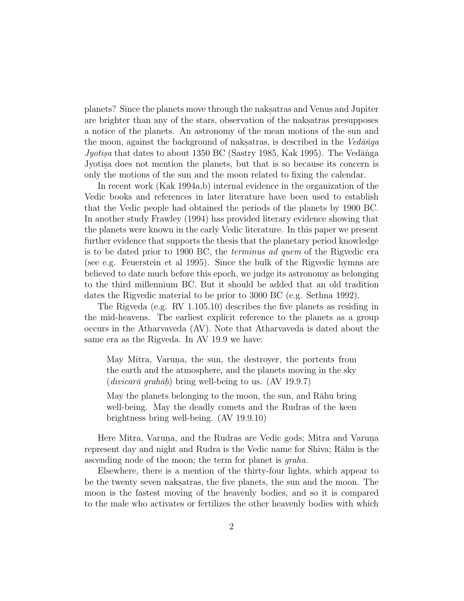planets? Since the planets move through the nakes and Venus and Jupiter are brighter than any of the stars, observation of the naksatras presupposes a notice of the planets. An astronomy of the mean motions of the sun and the moon, against the background of naksatras, is described in the  $Ved\bar{a} \eta g$ Jyotisa that dates to about 1350 BC (Sastry 1985, Kak 1995). The Vedānga Jyotis.a does not mention the planets, but that is so because its concern is only the motions of the sun and the moon related to fixing the calendar.

In recent work (Kak 1994a,b) internal evidence in the organization of the Vedic books and references in later literature have been used to establish that the Vedic people had obtained the periods of the planets by 1900 BC. In another study Frawley (1994) has provided literary evidence showing that the planets were known in the early Vedic literature. In this paper we present further evidence that supports the thesis that the planetary period knowledge is to be dated prior to 1900 BC, the terminus ad quem of the Rigvedic era (see e.g. Feuerstein et al 1995). Since the bulk of the Rigvedic hymns are believed to date much before this epoch, we judge its astronomy as belonging to the third millennium BC. But it should be added that an old tradition dates the Rigvedic material to be prior to 3000 BC (e.g. Sethna 1992).

The Rigveda (e.g. RV 1.105.10) describes the five planets as residing in the mid-heavens. The earliest explicit reference to the planets as a group occurs in the Atharvaveda (AV). Note that Atharvaveda is dated about the same era as the Rigveda. In AV 19.9 we have:

May Mitra, Varuna, the sun, the destroyer, the portents from the earth and the atmosphere, and the planets moving in the sky  $(divicar\bar{a}$  grah $\bar{a}h$ ) bring well-being to us. (AV 19.9.7)

May the planets belonging to the moon, the sun, and Rāhu bring well-being. May the deadly comets and the Rudras of the keen brightness bring well-being. (AV 19.9.10)

Here Mitra, Varuna, and the Rudras are Vedic gods; Mitra and Varuna. represent day and night and Rudra is the Vedic name for Shiva; Rāhu is the ascending node of the moon; the term for planet is graha.

Elsewhere, there is a mention of the thirty-four lights, which appear to be the twenty seven naksatras, the five planets, the sun and the moon. The moon is the fastest moving of the heavenly bodies, and so it is compared to the male who activates or fertilizes the other heavenly bodies with which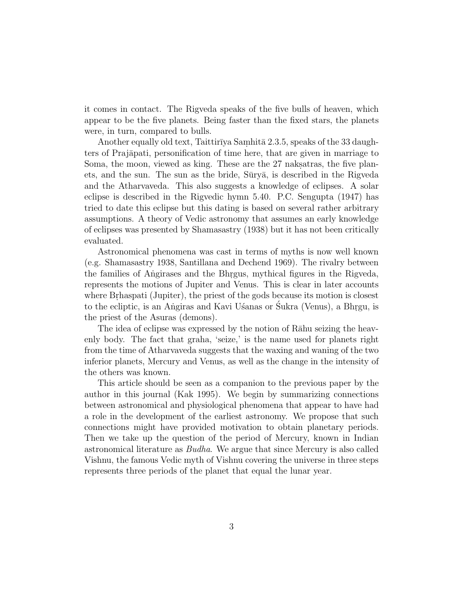it comes in contact. The Rigveda speaks of the five bulls of heaven, which appear to be the five planets. Being faster than the fixed stars, the planets were, in turn, compared to bulls.

Another equally old text, Taittirīya Samhitā 2.3.5, speaks of the 33 daughters of Prajāpati, personification of time here, that are given in marriage to Soma, the moon, viewed as king. These are the 27 naks atras, the five planets, and the sun. The sun as the bride, Sūryā, is described in the Rigveda and the Atharvaveda. This also suggests a knowledge of eclipses. A solar eclipse is described in the Rigvedic hymn 5.40. P.C. Sengupta (1947) has tried to date this eclipse but this dating is based on several rather arbitrary assumptions. A theory of Vedic astronomy that assumes an early knowledge of eclipses was presented by Shamasastry (1938) but it has not been critically evaluated.

Astronomical phenomena was cast in terms of myths is now well known (e.g. Shamasastry 1938, Santillana and Dechend 1969). The rivalry between the families of Angirases and the Bhrgus, mythical figures in the Rigveda, represents the motions of Jupiter and Venus. This is clear in later accounts where Brhaspati (Jupiter), the priest of the gods because its motion is closest to the ecliptic, is an Angiras and Kavi Usanas or Sukra (Venus), a Bhrgu, is the priest of the Asuras (demons).

The idea of eclipse was expressed by the notion of Rāhu seizing the heavenly body. The fact that graha, 'seize,' is the name used for planets right from the time of Atharvaveda suggests that the waxing and waning of the two inferior planets, Mercury and Venus, as well as the change in the intensity of the others was known.

This article should be seen as a companion to the previous paper by the author in this journal (Kak 1995). We begin by summarizing connections between astronomical and physiological phenomena that appear to have had a role in the development of the earliest astronomy. We propose that such connections might have provided motivation to obtain planetary periods. Then we take up the question of the period of Mercury, known in Indian astronomical literature as Budha. We argue that since Mercury is also called Vishnu, the famous Vedic myth of Vishnu covering the universe in three steps represents three periods of the planet that equal the lunar year.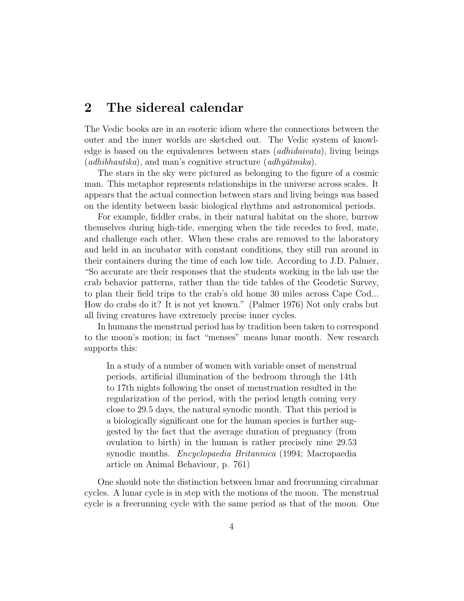### **2 The sidereal calendar**

The Vedic books are in an esoteric idiom where the connections between the outer and the inner worlds are sketched out. The Vedic system of knowledge is based on the equivalences between stars (adhidaivata), living beings (*adhibhautika*), and man's cognitive structure (*adhyatmika*).

The stars in the sky were pictured as belonging to the figure of a cosmic man. This metaphor represents relationships in the universe across scales. It appears that the actual connection between stars and living beings was based on the identity between basic biological rhythms and astronomical periods.

For example, fiddler crabs, in their natural habitat on the shore, burrow themselves during high-tide, emerging when the tide recedes to feed, mate, and challenge each other. When these crabs are removed to the laboratory and held in an incubator with constant conditions, they still run around in their containers during the time of each low tide. According to J.D. Palmer, "So accurate are their responses that the students working in the lab use the crab behavior patterns, rather than the tide tables of the Geodetic Survey, to plan their field trips to the crab's old home 30 miles across Cape Cod... How do crabs do it? It is not yet known." (Palmer 1976) Not only crabs but all living creatures have extremely precise inner cycles.

In humans the menstrual period has by tradition been taken to correspond to the moon's motion; in fact "menses" means lunar month. New research supports this:

In a study of a number of women with variable onset of menstrual periods, artificial illumination of the bedroom through the 14th to 17th nights following the onset of menstruation resulted in the regularization of the period, with the period length coming very close to 29.5 days, the natural synodic month. That this period is a biologically significant one for the human species is further suggested by the fact that the average duration of pregnancy (from ovulation to birth) in the human is rather precisely nine 29.53 synodic months. *Encyclopaedia Britannica* (1994; Macropaedia article on Animal Behaviour, p. 761)

One should note the distinction between lunar and freerunning circalunar cycles. A lunar cycle is in step with the motions of the moon. The menstrual cycle is a freerunning cycle with the same period as that of the moon. One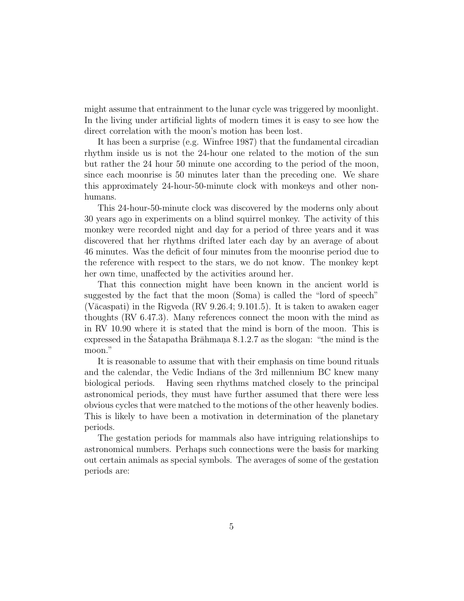might assume that entrainment to the lunar cycle was triggered by moonlight. In the living under artificial lights of modern times it is easy to see how the direct correlation with the moon's motion has been lost.

It has been a surprise (e.g. Winfree 1987) that the fundamental circadian rhythm inside us is not the 24-hour one related to the motion of the sun but rather the 24 hour 50 minute one according to the period of the moon, since each moonrise is 50 minutes later than the preceding one. We share this approximately 24-hour-50-minute clock with monkeys and other nonhumans.

This 24-hour-50-minute clock was discovered by the moderns only about 30 years ago in experiments on a blind squirrel monkey. The activity of this monkey were recorded night and day for a period of three years and it was discovered that her rhythms drifted later each day by an average of about 46 minutes. Was the deficit of four minutes from the moonrise period due to the reference with respect to the stars, we do not know. The monkey kept her own time, unaffected by the activities around her.

That this connection might have been known in the ancient world is suggested by the fact that the moon (Soma) is called the "lord of speech" (V $\bar{a}$ caspati) in the Rigveda (RV 9.26.4; 9.101.5). It is taken to awaken eager thoughts (RV 6.47.3). Many references connect the moon with the mind as in RV 10.90 where it is stated that the mind is born of the moon. This is expressed in the Satapatha Br $\bar{a}$ hmana 8.1.2.7 as the slogan: "the mind is the moon."

It is reasonable to assume that with their emphasis on time bound rituals and the calendar, the Vedic Indians of the 3rd millennium BC knew many biological periods. Having seen rhythms matched closely to the principal astronomical periods, they must have further assumed that there were less obvious cycles that were matched to the motions of the other heavenly bodies. This is likely to have been a motivation in determination of the planetary periods.

The gestation periods for mammals also have intriguing relationships to astronomical numbers. Perhaps such connections were the basis for marking out certain animals as special symbols. The averages of some of the gestation periods are: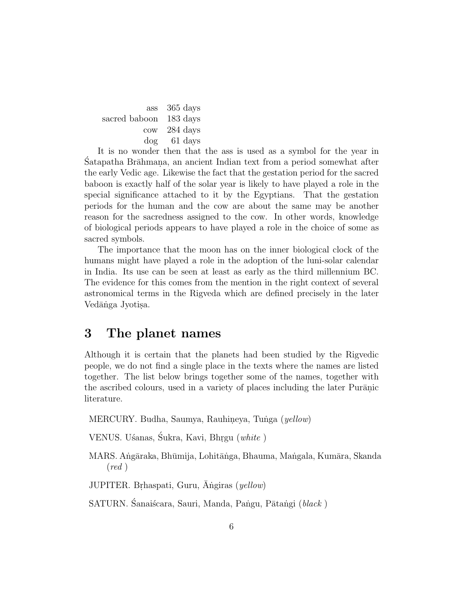ass 365 days sacred baboon 183 days cow 284 days dog 61 days

It is no wonder then that the ass is used as a symbol for the year in Satapatha Brāhmana, an ancient Indian text from a period somewhat after the early Vedic age. Likewise the fact that the gestation period for the sacred baboon is exactly half of the solar year is likely to have played a role in the special significance attached to it by the Egyptians. That the gestation periods for the human and the cow are about the same may be another reason for the sacredness assigned to the cow. In other words, knowledge of biological periods appears to have played a role in the choice of some as sacred symbols.

The importance that the moon has on the inner biological clock of the humans might have played a role in the adoption of the luni-solar calendar in India. Its use can be seen at least as early as the third millennium BC. The evidence for this comes from the mention in the right context of several astronomical terms in the Rigveda which are defined precisely in the later Vedānga Jyotisa.

#### **3 The planet names**

Although it is certain that the planets had been studied by the Rigvedic people, we do not find a single place in the texts where the names are listed together. The list below brings together some of the names, together with the ascribed colours, used in a variety of places including the later Puranic literature.

MERCURY. Budha, Saumya, Rauhineya, Tunga (yellow)

VENUS. Uśanas, Śukra, Kavi, Bhrgu (white)

MARS. Angāraka, Bhūmija, Lohitānga, Bhauma, Mangala, Kumāra, Skanda  $(\text{red})$ 

JUPITER. Brhaspati, Guru, Angiras (yellow)

SATURN. Śanaiścara, Sauri, Manda, Pangu, Pātangi (black)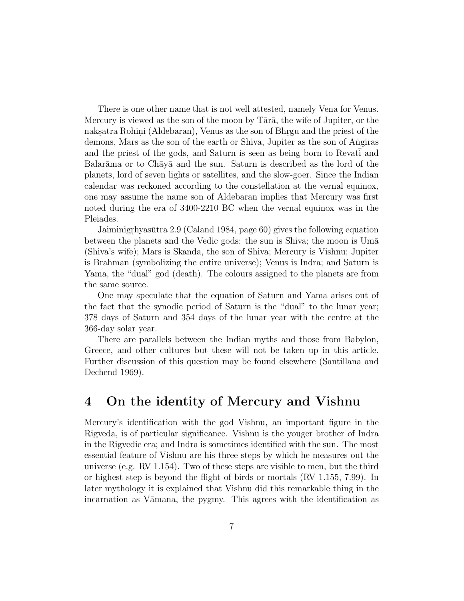There is one other name that is not well attested, namely Vena for Venus. Mercury is viewed as the son of the moon by  $T\bar{a}r\bar{a}$ , the wife of Jupiter, or the naks.atra Rohini (Aldebaran), Venus as the son of Bhr.gu and the priest of the demons, Mars as the son of the earth or Shiva, Jupiter as the son of Angiras and the priest of the gods, and Saturn is seen as being born to Revati and Balar $\bar{a}$ ma or to Ch $\bar{a}$ y $\bar{a}$  and the sun. Saturn is described as the lord of the planets, lord of seven lights or satellites, and the slow-goer. Since the Indian calendar was reckoned according to the constellation at the vernal equinox, one may assume the name son of Aldebaran implies that Mercury was first noted during the era of 3400-2210 BC when the vernal equinox was in the Pleiades.

Jaiminigrhyasūtra 2.9 (Caland 1984, page 60) gives the following equation between the planets and the Vedic gods: the sun is Shiva; the moon is Uma (Shiva's wife); Mars is Skanda, the son of Shiva; Mercury is Vishnu; Jupiter is Brahman (symbolizing the entire universe); Venus is Indra; and Saturn is Yama, the "dual" god (death). The colours assigned to the planets are from the same source.

One may speculate that the equation of Saturn and Yama arises out of the fact that the synodic period of Saturn is the "dual" to the lunar year; 378 days of Saturn and 354 days of the lunar year with the centre at the 366-day solar year.

There are parallels between the Indian myths and those from Babylon, Greece, and other cultures but these will not be taken up in this article. Further discussion of this question may be found elsewhere (Santillana and Dechend 1969).

#### **4 On the identity of Mercury and Vishnu**

Mercury's identification with the god Vishnu, an important figure in the Rigveda, is of particular significance. Vishnu is the youger brother of Indra in the Rigvedic era; and Indra is sometimes identified with the sun. The most essential feature of Vishnu are his three steps by which he measures out the universe (e.g. RV 1.154). Two of these steps are visible to men, but the third or highest step is beyond the flight of birds or mortals (RV 1.155, 7.99). In later mythology it is explained that Vishnu did this remarkable thing in the incarnation as Vāmana, the pygmy. This agrees with the identification as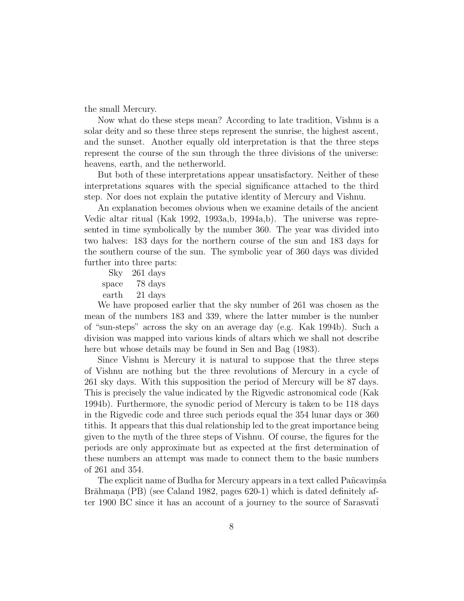the small Mercury.

Now what do these steps mean? According to late tradition, Vishnu is a solar deity and so these three steps represent the sunrise, the highest ascent, and the sunset. Another equally old interpretation is that the three steps represent the course of the sun through the three divisions of the universe: heavens, earth, and the netherworld.

But both of these interpretations appear unsatisfactory. Neither of these interpretations squares with the special significance attached to the third step. Nor does not explain the putative identity of Mercury and Vishnu.

An explanation becomes obvious when we examine details of the ancient Vedic altar ritual (Kak 1992, 1993a,b, 1994a,b). The universe was represented in time symbolically by the number 360. The year was divided into two halves: 183 days for the northern course of the sun and 183 days for the southern course of the sun. The symbolic year of 360 days was divided further into three parts:

Sky 261 days space 78 days earth 21 days

We have proposed earlier that the sky number of 261 was chosen as the mean of the numbers 183 and 339, where the latter number is the number of "sun-steps" across the sky on an average day (e.g. Kak 1994b). Such a division was mapped into various kinds of altars which we shall not describe here but whose details may be found in Sen and Bag (1983).

Since Vishnu is Mercury it is natural to suppose that the three steps of Vishnu are nothing but the three revolutions of Mercury in a cycle of 261 sky days. With this supposition the period of Mercury will be 87 days. This is precisely the value indicated by the Rigvedic astronomical code (Kak 1994b). Furthermore, the synodic period of Mercury is taken to be 118 days in the Rigvedic code and three such periods equal the 354 lunar days or 360 tithis. It appears that this dual relationship led to the great importance being given to the myth of the three steps of Vishnu. Of course, the figures for the periods are only approximate but as expected at the first determination of these numbers an attempt was made to connect them to the basic numbers of 261 and 354.

The explicit name of Budha for Mercury appears in a text called Pañcavimsa Brāhmana (PB) (see Caland 1982, pages 620-1) which is dated definitely after 1900 BC since it has an account of a journey to the source of Sarasvati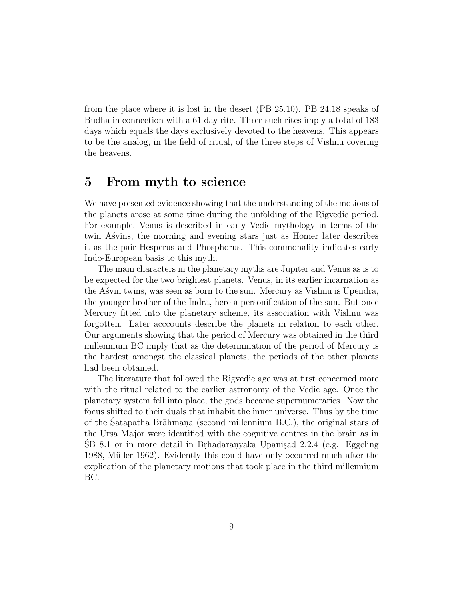from the place where it is lost in the desert (PB 25.10). PB 24.18 speaks of Budha in connection with a 61 day rite. Three such rites imply a total of 183 days which equals the days exclusively devoted to the heavens. This appears to be the analog, in the field of ritual, of the three steps of Vishnu covering the heavens.

### **5 From myth to science**

We have presented evidence showing that the understanding of the motions of the planets arose at some time during the unfolding of the Rigvedic period. For example, Venus is described in early Vedic mythology in terms of the twin Asvins, the morning and evening stars just as Homer later describes it as the pair Hesperus and Phosphorus. This commonality indicates early Indo-European basis to this myth.

The main characters in the planetary myths are Jupiter and Venus as is to be expected for the two brightest planets. Venus, in its earlier incarnation as the Asvin twins, was seen as born to the sun. Mercury as Vishnu is Upendra, the younger brother of the Indra, here a personification of the sun. But once Mercury fitted into the planetary scheme, its association with Vishnu was forgotten. Later acccounts describe the planets in relation to each other. Our arguments showing that the period of Mercury was obtained in the third millennium BC imply that as the determination of the period of Mercury is the hardest amongst the classical planets, the periods of the other planets had been obtained.

The literature that followed the Rigvedic age was at first concerned more with the ritual related to the earlier astronomy of the Vedic age. Once the planetary system fell into place, the gods became supernumeraries. Now the focus shifted to their duals that inhabit the inner universe. Thus by the time of the Satapatha Brāhmana (second millennium B.C.), the original stars of the Ursa Major were identified with the cognitive centres in the brain as in  $SB$  8.1 or in more detail in Brhadāran.yaka Upanisad 2.2.4 (e.g. Eggeling 1988, Müller 1962). Evidently this could have only occurred much after the explication of the planetary motions that took place in the third millennium BC.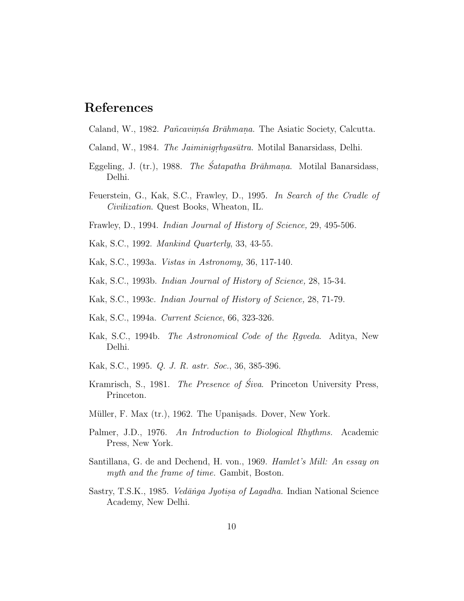## **References**

Caland, W., 1982. Pañcavimsa Brāhmana. The Asiatic Society, Calcutta.

- Caland, W., 1984. *The Jaiminigrhyasūtra*. Motilal Banarsidass, Delhi.
- Eggeling, J. (tr.), 1988. The Śatapatha Brāhmana. Motilal Banarsidass, Delhi.
- Feuerstein, G., Kak, S.C., Frawley, D., 1995. In Search of the Cradle of Civilization. Quest Books, Wheaton, IL.
- Frawley, D., 1994. Indian Journal of History of Science, 29, 495-506.
- Kak, S.C., 1992. Mankind Quarterly, 33, 43-55.
- Kak, S.C., 1993a. Vistas in Astronomy, 36, 117-140.
- Kak, S.C., 1993b. Indian Journal of History of Science, 28, 15-34.
- Kak, S.C., 1993c. Indian Journal of History of Science, 28, 71-79.
- Kak, S.C., 1994a. Current Science, 66, 323-326.
- Kak, S.C., 1994b. *The Astronomical Code of the Rgveda*. Aditya, New Delhi.
- Kak, S.C., 1995. Q. J. R. astr. Soc., 36, 385-396.
- Kramrisch, S., 1981. The Presence of Śiva. Princeton University Press, Princeton.
- Müller, F. Max (tr.), 1962. The Upanisads. Dover, New York.
- Palmer, J.D., 1976. An Introduction to Biological Rhythms. Academic Press, New York.
- Santillana, G. de and Dechend, H. von., 1969. Hamlet's Mill: An essay on myth and the frame of time. Gambit, Boston.
- Sastry, T.S.K., 1985. *Vedānga Jyotisa of Lagadha*. Indian National Science Academy, New Delhi.